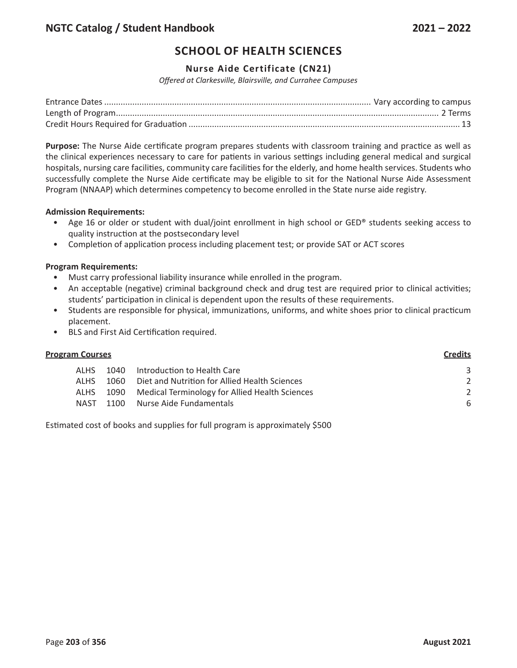# **SCHOOL OF HEALTH SCIENCES**

# **Nurse Aide Certificate (CN21)**

*Offered at Clarkesville, Blairsville, and Currahee Campuses*

**Purpose:** The Nurse Aide certificate program prepares students with classroom training and practice as well as the clinical experiences necessary to care for patients in various settings including general medical and surgical hospitals, nursing care facilities, community care facilities for the elderly, and home health services. Students who successfully complete the Nurse Aide certificate may be eligible to sit for the National Nurse Aide Assessment Program (NNAAP) which determines competency to become enrolled in the State nurse aide registry.

### **Admission Requirements:**

- Age 16 or older or student with dual/joint enrollment in high school or GED® students seeking access to quality instruction at the postsecondary level
- Completion of application process including placement test; or provide SAT or ACT scores

### **Program Requirements:**

- Must carry professional liability insurance while enrolled in the program.
- An acceptable (negative) criminal background check and drug test are required prior to clinical activities; students' participation in clinical is dependent upon the results of these requirements.
- Students are responsible for physical, immunizations, uniforms, and white shoes prior to clinical practicum placement.
- BLS and First Aid Certification required.

## **Program Courses Credits**

|  | ALHS 1040 Introduction to Health Care                    |   |
|--|----------------------------------------------------------|---|
|  | ALHS 1060 Diet and Nutrition for Allied Health Sciences  |   |
|  | ALHS 1090 Medical Terminology for Allied Health Sciences |   |
|  | NAST 1100 Nurse Aide Fundamentals                        | 6 |

Estimated cost of books and supplies for full program is approximately \$500